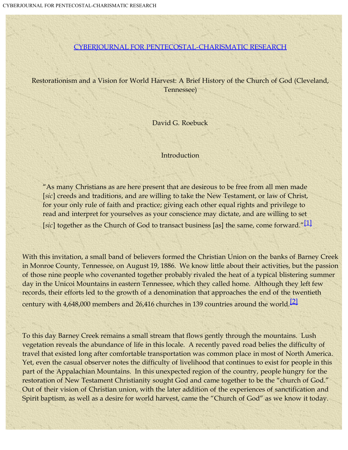#### [CYBERJOURNAL FOR PENTECOSTAL-CHARISMATIC RESEARCH](file:///C|/PCTII%20ORG%20Web/cyberj/cyber5.html)

<span id="page-0-0"></span>Restorationism and a Vision for World Harvest: A Brief History of the Church of God (Cleveland, Tennessee)

David G. Roebuck

Introduction

"As many Christians as are here present that are desirous to be free from all men made [*sic*] creeds and traditions, and are willing to take the New Testament, or law of Christ, for your only rule of faith and practice; giving each other equal rights and privilege to read and interpret for yourselves as your conscience may dictate, and are willing to set

[sic] together as the Church of God to transact business [as] the same, come forward."<sup>[\[1\]](#page-29-0)</sup>

<span id="page-0-1"></span>With this invitation, a small band of believers formed the Christian Union on the banks of Barney Creek in Monroe County, Tennessee, on August 19, 1886. We know little about their activities, but the passion of those nine people who covenanted together probably rivaled the heat of a typical blistering summer day in the Unicoi Mountains in eastern Tennessee, which they called home. Although they left few records, their efforts led to the growth of a denomination that approaches the end of the twentieth century with 4,648,000 members and 26,416 churches in 139 countries around the world.[\[2\]](#page-29-1)

<span id="page-0-2"></span>To this day Barney Creek remains a small stream that flows gently through the mountains. Lush vegetation reveals the abundance of life in this locale. A recently paved road belies the difficulty of travel that existed long after comfortable transportation was common place in most of North America. Yet, even the casual observer notes the difficulty of livelihood that continues to exist for people in this part of the Appalachian Mountains. In this unexpected region of the country, people hungry for the restoration of New Testament Christianity sought God and came together to be the "church of God." Out of their vision of Christian union, with the later addition of the experiences of sanctification and Spirit baptism, as well as a desire for world harvest, came the "Church of God" as we know it today.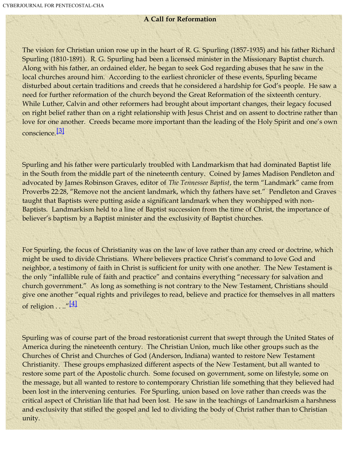## **A Call for Reformation**

The vision for Christian union rose up in the heart of R. G. Spurling (1857-1935) and his father Richard Spurling (1810-1891). R. G. Spurling had been a licensed minister in the Missionary Baptist church. Along with his father, an ordained elder, he began to seek God regarding abuses that he saw in the local churches around him. According to the earliest chronicler of these events, Spurling became disturbed about certain traditions and creeds that he considered a hardship for God's people. He saw a need for further reformation of the church beyond the Great Reformation of the sixteenth century. While Luther, Calvin and other reformers had brought about important changes, their legacy focused on right belief rather than on a right relationship with Jesus Christ and on assent to doctrine rather than love for one another. Creeds became more important than the leading of the Holy Spirit and one's own conscience<sup>[\[3\]](#page-29-2)</sup>

<span id="page-1-0"></span>Spurling and his father were particularly troubled with Landmarkism that had dominated Baptist life in the South from the middle part of the nineteenth century. Coined by James Madison Pendleton and advocated by James Robinson Graves, editor of *The Tennessee Baptist*, the term "Landmark" came from Proverbs 22:28, "Remove not the ancient landmark, which thy fathers have set." Pendleton and Graves taught that Baptists were putting aside a significant landmark when they worshipped with non-Baptists. Landmarkism held to a line of Baptist succession from the time of Christ, the importance of believer's baptism by a Baptist minister and the exclusivity of Baptist churches.

For Spurling, the focus of Christianity was on the law of love rather than any creed or doctrine, which might be used to divide Christians. Where believers practice Christ's command to love God and neighbor, a testimony of faith in Christ is sufficient for unity with one another. The New Testament is the only "infallible rule of faith and practice" and contains everything "necessary for salvation and church government." As long as something is not contrary to the New Testament, Christians should give one another "equal rights and privileges to read, believe and practice for themselves in all matters of religion  $\dots$  "[\[4\]](#page-29-3)

<span id="page-1-1"></span>Spurling was of course part of the broad restorationist current that swept through the United States of America during the nineteenth century. The Christian Union, much like other groups such as the Churches of Christ and Churches of God (Anderson, Indiana) wanted to restore New Testament Christianity. These groups emphasized different aspects of the New Testament, but all wanted to restore some part of the Apostolic church. Some focused on government, some on lifestyle, some on the message, but all wanted to restore to contemporary Christian life something that they believed had been lost in the intervening centuries. For Spurling, union based on love rather than creeds was the critical aspect of Christian life that had been lost. He saw in the teachings of Landmarkism a harshness and exclusivity that stifled the gospel and led to dividing the body of Christ rather than to Christian unity.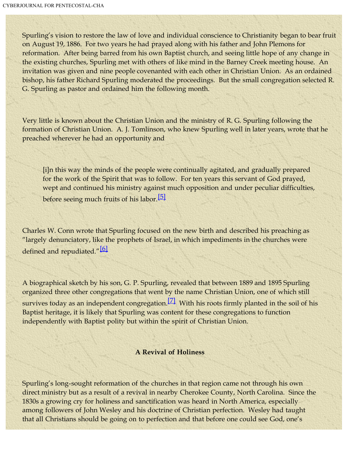Spurling's vision to restore the law of love and individual conscience to Christianity began to bear fruit on August 19, 1886. For two years he had prayed along with his father and John Plemons for reformation. After being barred from his own Baptist church, and seeing little hope of any change in the existing churches, Spurling met with others of like mind in the Barney Creek meeting house. An invitation was given and nine people covenanted with each other in Christian Union. As an ordained bishop, his father Richard Spurling moderated the proceedings. But the small congregation selected R. G. Spurling as pastor and ordained him the following month.

Very little is known about the Christian Union and the ministry of R. G. Spurling following the formation of Christian Union. A. J. Tomlinson, who knew Spurling well in later years, wrote that he preached wherever he had an opportunity and

[i]n this way the minds of the people were continually agitated, and gradually prepared for the work of the Spirit that was to follow. For ten years this servant of God prayed, wept and continued his ministry against much opposition and under peculiar difficulties, before seeing much fruits of his labor.<sup>[\[5\]](#page-29-4)</sup>

<span id="page-2-1"></span><span id="page-2-0"></span>Charles W. Conn wrote that Spurling focused on the new birth and described his preaching as "largely denunciatory, like the prophets of Israel, in which impediments in the churches were defined and repudiated."<sup>[\[6\]](#page-29-5)</sup>

<span id="page-2-2"></span>A biographical sketch by his son, G. P. Spurling, revealed that between 1889 and 1895 Spurling organized three other congregations that went by the name Christian Union, one of which still survives today as an independent congregation.<sup>[\[7\]](#page-29-6)</sup> With his roots firmly planted in the soil of his Baptist heritage, it is likely that Spurling was content for these congregations to function independently with Baptist polity but within the spirit of Christian Union.

#### **A Revival of Holiness**

Spurling's long-sought reformation of the churches in that region came not through his own direct ministry but as a result of a revival in nearby Cherokee County, North Carolina. Since the 1830s a growing cry for holiness and sanctification was heard in North America, especially among followers of John Wesley and his doctrine of Christian perfection. Wesley had taught that all Christians should be going on to perfection and that before one could see God, one's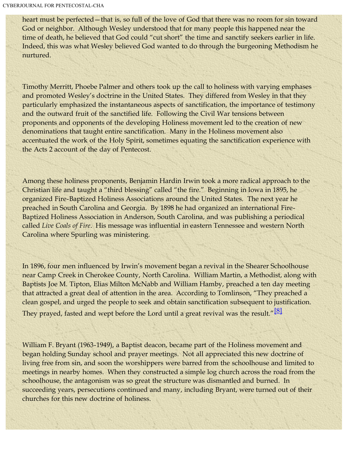heart must be perfected—that is, so full of the love of God that there was no room for sin toward God or neighbor. Although Wesley understood that for many people this happened near the time of death, he believed that God could "cut short" the time and sanctify seekers earlier in life. Indeed, this was what Wesley believed God wanted to do through the burgeoning Methodism he nurtured.

Timothy Merritt, Phoebe Palmer and others took up the call to holiness with varying emphases and promoted Wesley's doctrine in the United States. They differed from Wesley in that they particularly emphasized the instantaneous aspects of sanctification, the importance of testimony and the outward fruit of the sanctified life. Following the Civil War tensions between proponents and opponents of the developing Holiness movement led to the creation of new denominations that taught entire sanctification. Many in the Holiness movement also accentuated the work of the Holy Spirit, sometimes equating the sanctification experience with the Acts 2 account of the day of Pentecost.

Among these holiness proponents, Benjamin Hardin Irwin took a more radical approach to the Christian life and taught a "third blessing" called "the fire." Beginning in Iowa in 1895, he organized Fire-Baptized Holiness Associations around the United States. The next year he preached in South Carolina and Georgia. By 1898 he had organized an international Fire-Baptized Holiness Association in Anderson, South Carolina, and was publishing a periodical called *Live Coals of Fire*. His message was influential in eastern Tennessee and western North Carolina where Spurling was ministering.

In 1896, four men influenced by Irwin's movement began a revival in the Shearer Schoolhouse near Camp Creek in Cherokee County, North Carolina. William Martin, a Methodist, along with Baptists Joe M. Tipton, Elias Milton McNabb and William Hamby, preached a ten day meeting that attracted a great deal of attention in the area. According to Tomlinson, "They preached a clean gospel, and urged the people to seek and obtain sanctification subsequent to justification. They prayed, fasted and wept before the Lord until a great revival was the result."<sup>[\[8\]](#page-29-7)</sup>

<span id="page-3-0"></span>William F. Bryant (1963-1949), a Baptist deacon, became part of the Holiness movement and began holding Sunday school and prayer meetings. Not all appreciated this new doctrine of living free from sin, and soon the worshippers were barred from the schoolhouse and limited to meetings in nearby homes. When they constructed a simple log church across the road from the schoolhouse, the antagonism was so great the structure was dismantled and burned. In succeeding years, persecutions continued and many, including Bryant, were turned out of their churches for this new doctrine of holiness.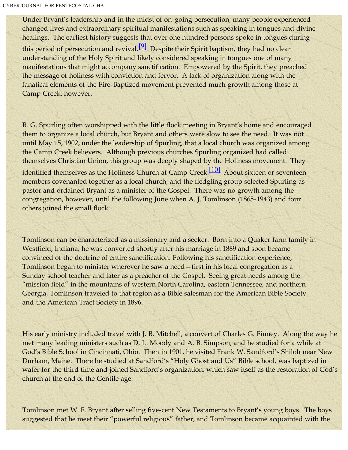Under Bryant's leadership and in the midst of on-going persecution, many people experienced changed lives and extraordinary spiritual manifestations such as speaking in tongues and divine healings. The earliest history suggests that over one hundred persons spoke in tongues during

<span id="page-4-0"></span>this period of persecution and revival.  $[9]$  Despite their Spirit baptism, they had no clear understanding of the Holy Spirit and likely considered speaking in tongues one of many manifestations that might accompany sanctification. Empowered by the Spirit, they preached the message of holiness with conviction and fervor. A lack of organization along with the fanatical elements of the Fire-Baptized movement prevented much growth among those at Camp Creek, however.

<span id="page-4-1"></span>R. G. Spurling often worshipped with the little flock meeting in Bryant's home and encouraged them to organize a local church, but Bryant and others were slow to see the need. It was not until May 15, 1902, under the leadership of Spurling, that a local church was organized among the Camp Creek believers. Although previous churches Spurling organized had called themselves Christian Union, this group was deeply shaped by the Holiness movement. They identified themselves as the Holiness Church at Camp Creek.<sup>[\[10\]](#page-29-9)</sup> About sixteen or seventeen members covenanted together as a local church, and the fledgling group selected Spurling as pastor and ordained Bryant as a minister of the Gospel. There was no growth among the congregation, however, until the following June when A. J. Tomlinson (1865-1943) and four others joined the small flock.

Tomlinson can be characterized as a missionary and a seeker. Born into a Quaker farm family in Westfield, Indiana, he was converted shortly after his marriage in 1889 and soon became convinced of the doctrine of entire sanctification. Following his sanctification experience, Tomlinson began to minister wherever he saw a need—first in his local congregation as a Sunday school teacher and later as a preacher of the Gospel. Seeing great needs among the "mission field" in the mountains of western North Carolina, eastern Tennessee, and northern Georgia, Tomlinson traveled to that region as a Bible salesman for the American Bible Society and the American Tract Society in 1896.

His early ministry included travel with J. B. Mitchell, a convert of Charles G. Finney. Along the way he met many leading ministers such as D. L. Moody and A. B. Simpson, and he studied for a while at God's Bible School in Cincinnati, Ohio. Then in 1901, he visited Frank W. Sandford's Shiloh near New Durham, Maine. There he studied at Sandford's "Holy Ghost and Us" Bible school, was baptized in water for the third time and joined Sandford's organization, which saw itself as the restoration of God's church at the end of the Gentile age.

Tomlinson met W. F. Bryant after selling five-cent New Testaments to Bryant's young boys. The boys suggested that he meet their "powerful religious" father, and Tomlinson became acquainted with the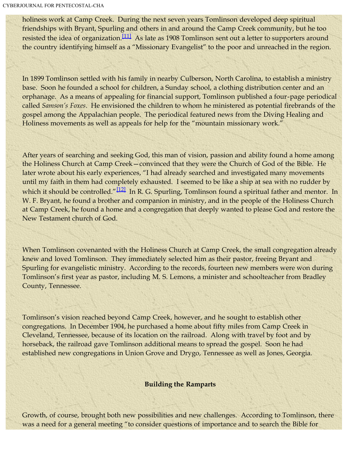<span id="page-5-0"></span>holiness work at Camp Creek. During the next seven years Tomlinson developed deep spiritual friendships with Bryant, Spurling and others in and around the Camp Creek community, but he too resisted the idea of organization.<sup>[\[11\]](#page-29-10)</sup> As late as 1908 Tomlinson sent out a letter to supporters around the country identifying himself as a "Missionary Evangelist" to the poor and unreached in the region.

In 1899 Tomlinson settled with his family in nearby Culberson, North Carolina, to establish a ministry base. Soon he founded a school for children, a Sunday school, a clothing distribution center and an orphanage. As a means of appealing for financial support, Tomlinson published a four-page periodical called *Samson's Foxes*. He envisioned the children to whom he ministered as potential firebrands of the gospel among the Appalachian people. The periodical featured news from the Diving Healing and Holiness movements as well as appeals for help for the "mountain missionary work."

<span id="page-5-1"></span>After years of searching and seeking God, this man of vision, passion and ability found a home among the Holiness Church at Camp Creek—convinced that they were the Church of God of the Bible. He later wrote about his early experiences, "I had already searched and investigated many movements until my faith in them had completely exhausted. I seemed to be like a ship at sea with no rudder by which it should be controlled." $[12]$  In R. G. Spurling, Tomlinson found a spiritual father and mentor. In W. F. Bryant, he found a brother and companion in ministry, and in the people of the Holiness Church at Camp Creek, he found a home and a congregation that deeply wanted to please God and restore the New Testament church of God.

When Tomlinson covenanted with the Holiness Church at Camp Creek, the small congregation already knew and loved Tomlinson. They immediately selected him as their pastor, freeing Bryant and Spurling for evangelistic ministry. According to the records, fourteen new members were won during Tomlinson's first year as pastor, including M. S. Lemons, a minister and schoolteacher from Bradley County, Tennessee.

Tomlinson's vision reached beyond Camp Creek, however, and he sought to establish other congregations. In December 1904, he purchased a home about fifty miles from Camp Creek in Cleveland, Tennessee, because of its location on the railroad. Along with travel by foot and by horseback, the railroad gave Tomlinson additional means to spread the gospel. Soon he had established new congregations in Union Grove and Drygo, Tennessee as well as Jones, Georgia.

## **Building the Ramparts**

Growth, of course, brought both new possibilities and new challenges. According to Tomlinson, there was a need for a general meeting "to consider questions of importance and to search the Bible for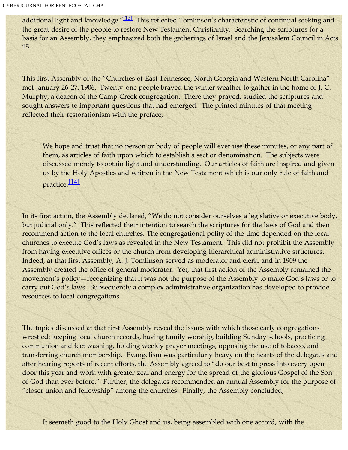<span id="page-6-0"></span>additional light and knowledge."<sup>[\[13\]](#page-29-12)</sup> This reflected Tomlinson's characteristic of continual seeking and the great desire of the people to restore New Testament Christianity. Searching the scriptures for a basis for an Assembly, they emphasized both the gatherings of Israel and the Jerusalem Council in Acts 15.

This first Assembly of the "Churches of East Tennessee, North Georgia and Western North Carolina" met January 26-27, 1906. Twenty-one people braved the winter weather to gather in the home of J. C. Murphy, a deacon of the Camp Creek congregation. There they prayed, studied the scriptures and sought answers to important questions that had emerged. The printed minutes of that meeting reflected their restorationism with the preface,

We hope and trust that no person or body of people will ever use these minutes, or any part of them, as articles of faith upon which to establish a sect or denomination. The subjects were discussed merely to obtain light and understanding. Our articles of faith are inspired and given us by the Holy Apostles and written in the New Testament which is our only rule of faith and practice.[\[14\]](#page-29-13)

<span id="page-6-1"></span>In its first action, the Assembly declared, "We do not consider ourselves a legislative or executive body, but judicial only." This reflected their intention to search the scriptures for the laws of God and then recommend action to the local churches. The congregational polity of the time depended on the local churches to execute God's laws as revealed in the New Testament. This did not prohibit the Assembly from having executive offices or the church from developing hierarchical administrative structures. Indeed, at that first Assembly, A. J. Tomlinson served as moderator and clerk, and in 1909 the Assembly created the office of general moderator. Yet, that first action of the Assembly remained the movement's policy—recognizing that it was not the purpose of the Assembly to make God's laws or to carry out God's laws. Subsequently a complex administrative organization has developed to provide resources to local congregations.

The topics discussed at that first Assembly reveal the issues with which those early congregations wrestled: keeping local church records, having family worship, building Sunday schools, practicing communion and feet washing, holding weekly prayer meetings, opposing the use of tobacco, and transferring church membership. Evangelism was particularly heavy on the hearts of the delegates and after hearing reports of recent efforts, the Assembly agreed to "do our best to press into every open door this year and work with greater zeal and energy for the spread of the glorious Gospel of the Son of God than ever before." Further, the delegates recommended an annual Assembly for the purpose of "closer union and fellowship" among the churches. Finally, the Assembly concluded,

It seemeth good to the Holy Ghost and us, being assembled with one accord, with the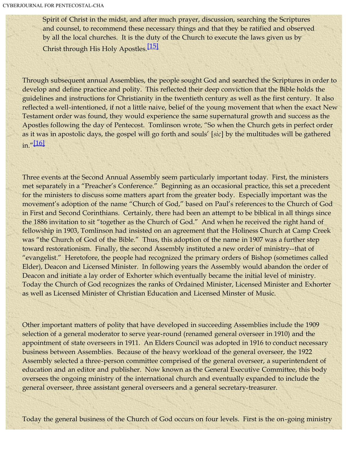Spirit of Christ in the midst, and after much prayer, discussion, searching the Scriptures and counsel, to recommend these necessary things and that they be ratified and observed by all the local churches. It is the duty of the Church to execute the laws given us by Christ through His Holy Apostles.<sup>[\[15\]](#page-29-14)</sup>

<span id="page-7-0"></span>Through subsequent annual Assemblies, the people sought God and searched the Scriptures in order to develop and define practice and polity. This reflected their deep conviction that the Bible holds the guidelines and instructions for Christianity in the twentieth century as well as the first century. It also reflected a well-intentioned, if not a little naive, belief of the young movement that when the exact New Testament order was found, they would experience the same supernatural growth and success as the Apostles following the day of Pentecost. Tomlinson wrote, "So when the Church gets in perfect order as it was in apostolic days, the gospel will go forth and souls' [*sic*] by the multitudes will be gathered  $in.$ " $[16]$ 

<span id="page-7-1"></span>Three events at the Second Annual Assembly seem particularly important today. First, the ministers met separately in a "Preacher's Conference." Beginning as an occasional practice, this set a precedent for the ministers to discuss some matters apart from the greater body. Especially important was the movement's adoption of the name "Church of God," based on Paul's references to the Church of God in First and Second Corinthians. Certainly, there had been an attempt to be biblical in all things since the 1886 invitation to sit "together as the Church of God." And when he received the right hand of fellowship in 1903, Tomlinson had insisted on an agreement that the Holiness Church at Camp Creek was "the Church of God of the Bible." Thus, this adoption of the name in 1907 was a further step toward restorationism. Finally, the second Assembly instituted a new order of ministry--that of "evangelist." Heretofore, the people had recognized the primary orders of Bishop (sometimes called Elder), Deacon and Licensed Minister. In following years the Assembly would abandon the order of Deacon and initiate a lay order of Exhorter which eventually became the initial level of ministry. Today the Church of God recognizes the ranks of Ordained Minister, Licensed Minister and Exhorter as well as Licensed Minister of Christian Education and Licensed Minster of Music.

Other important matters of polity that have developed in succeeding Assemblies include the 1909 selection of a general moderator to serve year-round (renamed general overseer in 1910) and the appointment of state overseers in 1911. An Elders Council was adopted in 1916 to conduct necessary business between Assemblies. Because of the heavy workload of the general overseer, the 1922 Assembly selected a three-person committee comprised of the general overseer, a superintendent of education and an editor and publisher. Now known as the General Executive Committee, this body oversees the ongoing ministry of the international church and eventually expanded to include the general overseer, three assistant general overseers and a general secretary-treasurer.

Today the general business of the Church of God occurs on four levels. First is the on-going ministry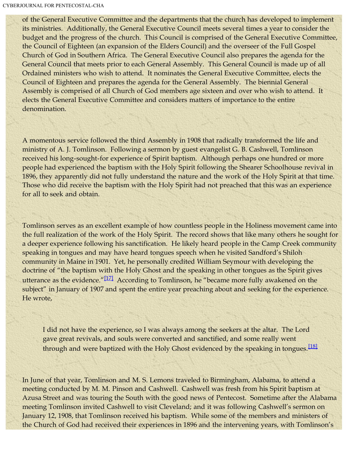of the General Executive Committee and the departments that the church has developed to implement its ministries. Additionally, the General Executive Council meets several times a year to consider the budget and the progress of the church. This Council is comprised of the General Executive Committee, the Council of Eighteen (an expansion of the Elders Council) and the overseer of the Full Gospel Church of God in Southern Africa. The General Executive Council also prepares the agenda for the General Council that meets prior to each General Assembly. This General Council is made up of all Ordained ministers who wish to attend. It nominates the General Executive Committee, elects the Council of Eighteen and prepares the agenda for the General Assembly. The biennial General Assembly is comprised of all Church of God members age sixteen and over who wish to attend. It elects the General Executive Committee and considers matters of importance to the entire denomination.

A momentous service followed the third Assembly in 1908 that radically transformed the life and ministry of A. J. Tomlinson. Following a sermon by guest evangelist G. B. Cashwell, Tomlinson received his long-sought-for experience of Spirit baptism. Although perhaps one hundred or more people had experienced the baptism with the Holy Spirit following the Shearer Schoolhouse revival in 1896, they apparently did not fully understand the nature and the work of the Holy Spirit at that time. Those who did receive the baptism with the Holy Spirit had not preached that this was an experience for all to seek and obtain.

<span id="page-8-0"></span>Tomlinson serves as an excellent example of how countless people in the Holiness movement came into the full realization of the work of the Holy Spirit. The record shows that like many others he sought for a deeper experience following his sanctification. He likely heard people in the Camp Creek community speaking in tongues and may have heard tongues speech when he visited Sandford's Shiloh community in Maine in 1901. Yet, he personally credited William Seymour with developing the doctrine of "the baptism with the Holy Ghost and the speaking in other tongues as the Spirit gives utterance as the evidence."<sup>[\[17\]](#page-30-1)</sup> According to Tomlinson, he "became more fully awakened on the subject" in January of 1907 and spent the entire year preaching about and seeking for the experience. He wrote,

I did not have the experience, so I was always among the seekers at the altar. The Lord gave great revivals, and souls were converted and sanctified, and some really went through and were baptized with the Holy Ghost evidenced by the speaking in tongues.<sup>[\[18\]](#page-30-2)</sup>

<span id="page-8-1"></span>In June of that year, Tomlinson and M. S. Lemons traveled to Birmingham, Alabama, to attend a meeting conducted by M. M. Pinson and Cashwell. Cashwell was fresh from his Spirit baptism at Azusa Street and was touring the South with the good news of Pentecost. Sometime after the Alabama meeting Tomlinson invited Cashwell to visit Cleveland; and it was following Cashwell's sermon on January 12, 1908, that Tomlinson received his baptism. While some of the members and ministers of the Church of God had received their experiences in 1896 and the intervening years, with Tomlinson's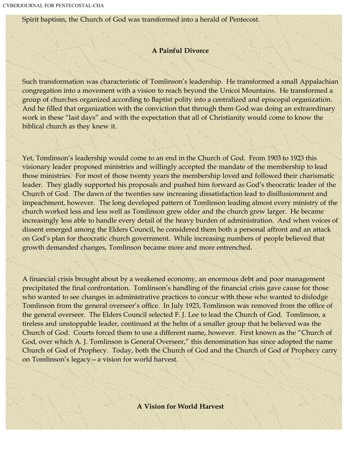Spirit baptism, the Church of God was transformed into a herald of Pentecost.

#### **A Painful Divorce**

Such transformation was characteristic of Tomlinson's leadership. He transformed a small Appalachian congregation into a movement with a vision to reach beyond the Unicoi Mountains. He transformed a group of churches organized according to Baptist polity into a centralized and episcopal organization. And he filled that organization with the conviction that through them God was doing an extraordinary work in these "last days" and with the expectation that all of Christianity would come to know the biblical church as they knew it.

Yet, Tomlinson's leadership would come to an end in the Church of God. From 1903 to 1923 this visionary leader proposed ministries and willingly accepted the mandate of the membership to lead those ministries. For most of those twenty years the membership loved and followed their charismatic leader. They gladly supported his proposals and pushed him forward as God's theocratic leader of the Church of God. The dawn of the twenties saw increasing dissatisfaction lead to disillusionment and impeachment, however. The long developed pattern of Tomlinson leading almost every ministry of the church worked less and less well as Tomlinson grew older and the church grew larger. He became increasingly less able to handle every detail of the heavy burden of administration. And when voices of dissent emerged among the Elders Council, he considered them both a personal affront and an attack on God's plan for theocratic church government. While increasing numbers of people believed that growth demanded changes, Tomlinson became more and more entrenched.

A financial crisis brought about by a weakened economy, an enormous debt and poor management precipitated the final confrontation. Tomlinson's handling of the financial crisis gave cause for those who wanted to see changes in administrative practices to concur with those who wanted to dislodge Tomlinson from the general overseer's office. In July 1923, Tomlinson was removed from the office of the general overseer. The Elders Council selected F. J. Lee to lead the Church of God. Tomlinson, a tireless and unstoppable leader, continued at the helm of a smaller group that he believed was the Church of God. Courts forced them to use a different name, however. First known as the "Church of God, over which A. J. Tomlinson is General Overseer," this denomination has since adopted the name Church of God of Prophecy. Today, both the Church of God and the Church of God of Prophecy carry on Tomlinson's legacy—a vision for world harvest.

**A Vision for World Harvest**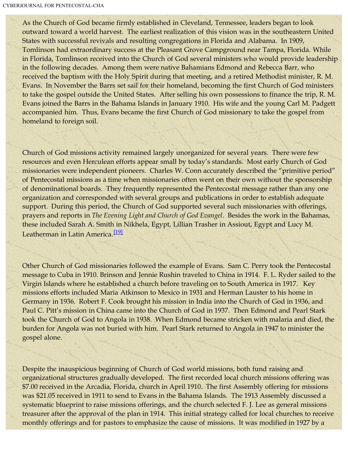As the Church of God became firmly established in Cleveland, Tennessee, leaders began to look outward toward a world harvest. The earliest realization of this vision was in the southeastern United States with successful revivals and resulting congregations in Florida and Alabama. In 1909, Tomlinson had extraordinary success at the Pleasant Grove Campground near Tampa, Florida. While in Florida, Tomlinson received into the Church of God several ministers who would provide leadership in the following decades. Among them were native Bahamians Edmond and Rebecca Barr, who received the baptism with the Holy Spirit during that meeting, and a retired Methodist minister, R. M. Evans. In November the Barrs set sail for their homeland, becoming the first Church of God ministers to take the gospel outside the United States. After selling his own possessions to finance the trip, R. M. Evans joined the Barrs in the Bahama Islands in January 1910. His wife and the young Carl M. Padgett accompanied him. Thus, Evans became the first Church of God missionary to take the gospel from homeland to foreign soil.

Church of God missions activity remained largely unorganized for several years. There were few resources and even Herculean efforts appear small by today's standards. Most early Church of God missionaries were independent pioneers. Charles W. Conn accurately described the "primitive period" of Pentecostal missions as a time when missionaries often went on their own without the sponsorship of denominational boards. They frequently represented the Pentecostal message rather than any one organization and corresponded with several groups and publications in order to establish adequate support. During this period, the Church of God supported several such missionaries with offerings, prayers and reports in *The Evening Light and Church of God Evangel*. Besides the work in the Bahamas, these included Sarah A. Smith in Nikhela, Egypt, Lillian Trasher in Assiout, Egypt and Lucy M. Leatherman in Latin America.<sup>[\[19\]](#page-30-3)</sup>

<span id="page-10-0"></span>Other Church of God missionaries followed the example of Evans. Sam C. Perry took the Pentecostal message to Cuba in 1910. Brinson and Jennie Rushin traveled to China in 1914. F. L. Ryder sailed to the Virgin Islands where he established a church before traveling on to South America in 1917. Key missions efforts included Maria Atkinson to Mexico in 1931 and Herman Lauster to his home in Germany in 1936. Robert F. Cook brought his mission in India into the Church of God in 1936, and Paul C. Pitt's mission in China came into the Church of God in 1937. Then Edmond and Pearl Stark took the Church of God to Angola in 1938. When Edmond became stricken with malaria and died, the burden for Angola was not buried with him. Pearl Stark returned to Angola in 1947 to minister the gospel alone.

Despite the inauspicious beginning of Church of God world missions, both fund raising and organizational structures gradually developed. The first recorded local church missions offering was \$7.00 received in the Arcadia, Florida, church in April 1910. The first Assembly offering for missions was \$21.05 received in 1911 to send to Evans in the Bahama Islands. The 1913 Assembly discussed a systematic blueprint to raise missions offerings, and the church selected F. J. Lee as general missions treasurer after the approval of the plan in 1914. This initial strategy called for local churches to receive monthly offerings and for pastors to emphasize the cause of missions. It was modified in 1927 by a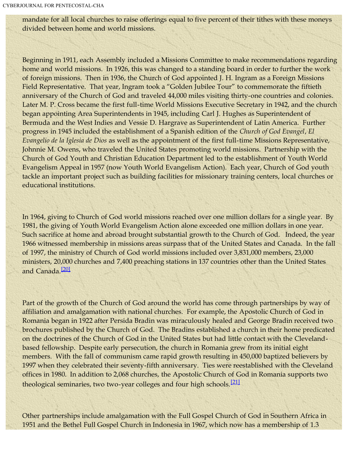mandate for all local churches to raise offerings equal to five percent of their tithes with these moneys divided between home and world missions.

Beginning in 1911, each Assembly included a Missions Committee to make recommendations regarding home and world missions. In 1926, this was changed to a standing board in order to further the work of foreign missions. Then in 1936, the Church of God appointed J. H. Ingram as a Foreign Missions Field Representative. That year, Ingram took a "Golden Jubilee Tour" to commemorate the fiftieth anniversary of the Church of God and traveled 44,000 miles visiting thirty-one countries and colonies. Later M. P. Cross became the first full-time World Missions Executive Secretary in 1942, and the church began appointing Area Superintendents in 1945, including Carl J. Hughes as Superintendent of Bermuda and the West Indies and Vessie D. Hargrave as Superintendent of Latin America. Further progress in 1945 included the establishment of a Spanish edition of the *Church of God Evangel*, *El Evangelio de la Iglesia de Dios* as well as the appointment of the first full-time Missions Representative, Johnnie M. Owens, who traveled the United States promoting world missions. Partnership with the Church of God Youth and Christian Education Department led to the establishment of Youth World Evangelism Appeal in 1957 (now Youth World Evangelism Action). Each year, Church of God youth tackle an important project such as building facilities for missionary training centers, local churches or educational institutions.

In 1964, giving to Church of God world missions reached over one million dollars for a single year. By 1981, the giving of Youth World Evangelism Action alone exceeded one million dollars in one year. Such sacrifice at home and abroad brought substantial growth to the Church of God. Indeed, the year 1966 witnessed membership in missions areas surpass that of the United States and Canada. In the fall of 1997, the ministry of Church of God world missions included over 3,831,000 members, 23,000 ministers, 20,000 churches and 7,400 preaching stations in 137 countries other than the United States and Canada.<sup>[\[20\]](#page-30-4)</sup>

<span id="page-11-0"></span>Part of the growth of the Church of God around the world has come through partnerships by way of affiliation and amalgamation with national churches. For example, the Apostolic Church of God in Romania began in 1922 after Persida Bradin was miraculously healed and George Bradin received two brochures published by the Church of God. The Bradins established a church in their home predicated on the doctrines of the Church of God in the United States but had little contact with the Clevelandbased fellowship. Despite early persecution, the church in Romania grew from its initial eight members. With the fall of communism came rapid growth resulting in 450,000 baptized believers by 1997 when they celebrated their seventy-fifth anniversary. Ties were reestablished with the Cleveland offices in 1980. In addition to 2,068 churches, the Apostolic Church of God in Romania supports two theological seminaries, two two-year colleges and four high schools.<sup>[\[21\]](#page-30-5)</sup>

<span id="page-11-1"></span>Other partnerships include amalgamation with the Full Gospel Church of God in Southern Africa in 1951 and the Bethel Full Gospel Church in Indonesia in 1967, which now has a membership of 1.3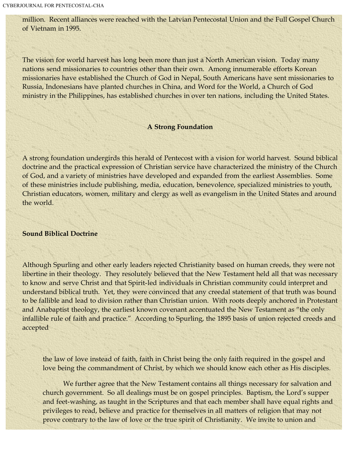million. Recent alliances were reached with the Latvian Pentecostal Union and the Full Gospel Church of Vietnam in 1995.

The vision for world harvest has long been more than just a North American vision. Today many nations send missionaries to countries other than their own. Among innumerable efforts Korean missionaries have established the Church of God in Nepal, South Americans have sent missionaries to Russia, Indonesians have planted churches in China, and Word for the World, a Church of God ministry in the Philippines, has established churches in over ten nations, including the United States.

#### **A Strong Foundation**

A strong foundation undergirds this herald of Pentecost with a vision for world harvest. Sound biblical doctrine and the practical expression of Christian service have characterized the ministry of the Church of God, and a variety of ministries have developed and expanded from the earliest Assemblies. Some of these ministries include publishing, media, education, benevolence, specialized ministries to youth, Christian educators, women, military and clergy as well as evangelism in the United States and around the world.

#### **Sound Biblical Doctrine**

Although Spurling and other early leaders rejected Christianity based on human creeds, they were not libertine in their theology. They resolutely believed that the New Testament held all that was necessary to know and serve Christ and that Spirit-led individuals in Christian community could interpret and understand biblical truth. Yet, they were convinced that any creedal statement of that truth was bound to be fallible and lead to division rather than Christian union. With roots deeply anchored in Protestant and Anabaptist theology, the earliest known covenant accentuated the New Testament as "the only infallible rule of faith and practice." According to Spurling, the 1895 basis of union rejected creeds and accepted

the law of love instead of faith, faith in Christ being the only faith required in the gospel and love being the commandment of Christ, by which we should know each other as His disciples.

 We further agree that the New Testament contains all things necessary for salvation and church government. So all dealings must be on gospel principles. Baptism, the Lord's supper and feet-washing, as taught in the Scriptures and that each member shall have equal rights and privileges to read, believe and practice for themselves in all matters of religion that may not prove contrary to the law of love or the true spirit of Christianity. We invite to union and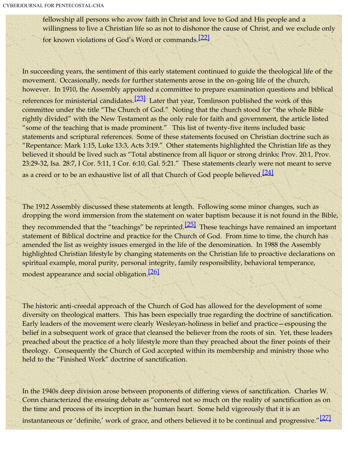fellowship all persons who avow faith in Christ and love to God and His people and a willingness to live a Christian life so as not to dishonor the cause of Christ, and we exclude only for known violations of God's Word or commands.[\[22\]](#page-30-6)

<span id="page-13-1"></span><span id="page-13-0"></span>In succeeding years, the sentiment of this early statement continued to guide the theological life of the movement. Occasionally, needs for further statements arose in the on-going life of the church, however. In 1910, the Assembly appointed a committee to prepare examination questions and biblical references for ministerial candidates.<sup>[\[23\]](#page-30-7)</sup> Later that year, Tomlinson published the work of this committee under the title "The Church of God." Noting that the church stood for "the whole Bible rightly divided" with the New Testament as the only rule for faith and government, the article listed "some of the teaching that is made prominent." This list of twenty-five items included basic statements and scriptural references. Some of these statements focused on Christian doctrine such as "Repentance: Mark 1:15, Luke 13:3, Acts 3:19." Other statements highlighted the Christian life as they believed it should be lived such as "Total abstinence from all liquor or strong drinks: Prov. 20:1, Prov. 23:29-32, Isa. 28:7, I Cor. 5:11, 1 Cor. 6:10, Gal. 5:21." These statements clearly were not meant to serve as a creed or to be an exhaustive list of all that Church of God people believed.<sup>[\[24\]](#page-30-8)</sup>

<span id="page-13-3"></span><span id="page-13-2"></span>The 1912 Assembly discussed these statements at length. Following some minor changes, such as dropping the word immersion from the statement on water baptism because it is not found in the Bible, they recommended that the "teachings" be reprinted.<sup>[\[25\]](#page-30-9)</sup> These teachings have remained an important statement of Biblical doctrine and practice for the Church of God. From time to time, the church has amended the list as weighty issues emerged in the life of the denomination. In 1988 the Assembly highlighted Christian lifestyle by changing statements on the Christian life to proactive declarations on spiritual example, moral purity, personal integrity, family responsibility, behavioral temperance, modest appearance and social obligation.<sup>[\[26\]](#page-30-10)</sup>

<span id="page-13-4"></span>The historic anti-creedal approach of the Church of God has allowed for the development of some diversity on theological matters. This has been especially true regarding the doctrine of sanctification. Early leaders of the movement were clearly Wesleyan-holiness in belief and practice—espousing the belief in a subsequent work of grace that cleansed the believer from the roots of sin. Yet, these leaders preached about the practice of a holy lifestyle more than they preached about the finer points of their theology. Consequently the Church of God accepted within its membership and ministry those who held to the "Finished Work" doctrine of sanctification.

<span id="page-13-5"></span>In the 1940s deep division arose between proponents of differing views of sanctification. Charles W. Conn characterized the ensuing debate as "centered not so much on the reality of sanctification as on the time and process of its inception in the human heart. Some held vigorously that it is an instantaneous or 'definite,' work of grace, and others believed it to be continual and progressive."<sup>[\[27\]](#page-30-11)</sup>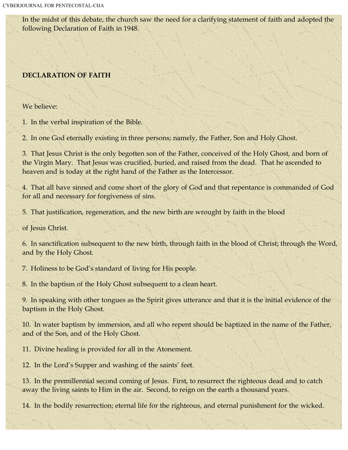In the midst of this debate, the church saw the need for a clarifying statement of faith and adopted the following Declaration of Faith in 1948.

## **DECLARATION OF FAITH**

We believe:

1. In the verbal inspiration of the Bible.

2. In one God eternally existing in three persons; namely, the Father, Son and Holy Ghost.

3. That Jesus Christ is the only begotten son of the Father, conceived of the Holy Ghost, and born of the Virgin Mary. That Jesus was crucified, buried, and raised from the dead. That he ascended to heaven and is today at the right hand of the Father as the Intercessor.

4. That all have sinned and come short of the glory of God and that repentance is commanded of God for all and necessary for forgiveness of sins.

5. That justification, regeneration, and the new birth are wrought by faith in the blood

of Jesus Christ.

6. In sanctification subsequent to the new birth, through faith in the blood of Christ; through the Word, and by the Holy Ghost.

7. Holiness to be God's standard of living for His people.

8. In the baptism of the Holy Ghost subsequent to a clean heart.

9. In speaking with other tongues as the Spirit gives utterance and that it is the initial evidence of the baptism in the Holy Ghost.

10. In water baptism by immersion, and all who repent should be baptized in the name of the Father, and of the Son, and of the Holy Ghost.

11. Divine healing is provided for all in the Atonement.

12. In the Lord's Supper and washing of the saints' feet.

13. In the premillennial second coming of Jesus. First, to resurrect the righteous dead and to catch away the living saints to Him in the air. Second, to reign on the earth a thousand years.

14. In the bodily resurrection; eternal life for the righteous, and eternal punishment for the wicked.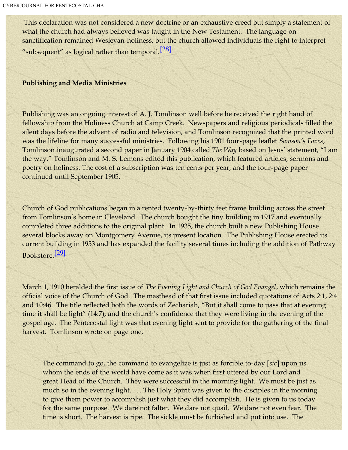<span id="page-15-0"></span>This declaration was not considered a new doctrine or an exhaustive creed but simply a statement of what the church had always believed was taught in the New Testament. The language on sanctification remained Wesleyan-holiness, but the church allowed individuals the right to interpret "subsequent" as logical rather than temporal.<sup>[\[28\]](#page-30-12)</sup>

#### **Publishing and Media Ministries**

Publishing was an ongoing interest of A. J. Tomlinson well before he received the right hand of fellowship from the Holiness Church at Camp Creek. Newspapers and religious periodicals filled the silent days before the advent of radio and television, and Tomlinson recognized that the printed word was the lifeline for many successful ministries. Following his 1901 four-page leaflet *Samson's Foxes*, Tomlinson inaugurated a second paper in January 1904 called *The Way* based on Jesus' statement, "I am the way." Tomlinson and M. S. Lemons edited this publication, which featured articles, sermons and poetry on holiness. The cost of a subscription was ten cents per year, and the four-page paper continued until September 1905.

Church of God publications began in a rented twenty-by-thirty feet frame building across the street from Tomlinson's home in Cleveland. The church bought the tiny building in 1917 and eventually completed three additions to the original plant. In 1935, the church built a new Publishing House several blocks away on Montgomery Avenue, its present location. The Publishing House erected its current building in 1953 and has expanded the facility several times including the addition of Pathway Bookstore.[\[29\]](#page-30-13)

<span id="page-15-1"></span>March 1, 1910 heralded the first issue of *The Evening Light and Church of God Evangel*, which remains the official voice of the Church of God. The masthead of that first issue included quotations of Acts 2:1, 2:4 and 10:46. The title reflected both the words of Zechariah, "But it shall come to pass that at evening time it shall be light" (14:7), and the church's confidence that they were living in the evening of the gospel age. The Pentecostal light was that evening light sent to provide for the gathering of the final harvest. Tomlinson wrote on page one,

The command to go, the command to evangelize is just as forcible to-day [*sic*] upon us whom the ends of the world have come as it was when first uttered by our Lord and great Head of the Church. They were successful in the morning light. We must be just as much so in the evening light. . . . The Holy Spirit was given to the disciples in the morning to give them power to accomplish just what they did accomplish. He is given to us today for the same purpose. We dare not falter. We dare not quail. We dare not even fear. The time is short. The harvest is ripe. The sickle must be furbished and put into use. The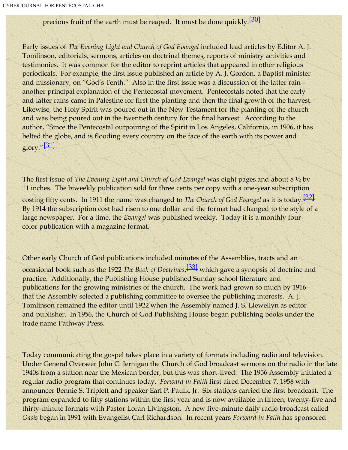# precious fruit of the earth must be reaped. It must be done quickly.<sup>[\[30\]](#page-30-14)</sup>

<span id="page-16-0"></span>Early issues of *The Evening Light and Church of God Evangel* included lead articles by Editor A. J. Tomlinson, editorials, sermons, articles on doctrinal themes, reports of ministry activities and testimonies. It was common for the editor to reprint articles that appeared in other religious periodicals. For example, the first issue published an article by A. J. Gordon, a Baptist minister and missionary, on "God's Tenth." Also in the first issue was a discussion of the latter rain another principal explanation of the Pentecostal movement. Pentecostals noted that the early and latter rains came in Palestine for first the planting and then the final growth of the harvest. Likewise, the Holy Spirit was poured out in the New Testament for the planting of the church and was being poured out in the twentieth century for the final harvest. According to the author, "Since the Pentecostal outpouring of the Spirit in Los Angeles, California, in 1906, it has belted the globe, and is flooding every country on the face of the earth with its power and glory." $\left[ \frac{31}{2} \right]$ 

<span id="page-16-2"></span><span id="page-16-1"></span>The first issue of *The Evening Light and Church of God Evangel* was eight pages and about 8 ½ by 11 inches. The biweekly publication sold for three cents per copy with a one-year subscription costing fifty cents. In 1911 the name was changed to *The Church of God Evangel* as it is today.[\[32\]](#page-30-16) By 1914 the subscription cost had risen to one dollar and the format had changed to the style of a large newspaper. For a time, the *Evangel* was published weekly. Today it is a monthly fourcolor publication with a magazine format.

<span id="page-16-3"></span>Other early Church of God publications included minutes of the Assemblies, tracts and an occasional book such as the 1922 *The Book of Doctrines*, [\[33\]](#page-30-17) which gave a synopsis of doctrine and practice. Additionally, the Publishing House published Sunday school literature and publications for the growing ministries of the church. The work had grown so much by 1916 that the Assembly selected a publishing committee to oversee the publishing interests. A. J. Tomlinson remained the editor until 1922 when the Assembly named J. S. Llewellyn as editor and publisher. In 1956, the Church of God Publishing House began publishing books under the trade name Pathway Press.

Today communicating the gospel takes place in a variety of formats including radio and television. Under General Overseer John C. Jernigan the Church of God broadcast sermons on the radio in the late 1940s from a station near the Mexican border, but this was short-lived. The 1956 Assembly initiated a regular radio program that continues today. *Forward in Faith* first aired December 7, 1958 with announcer Bennie S. Triplett and speaker Earl P. Paulk, Jr. Six stations carried the first broadcast. The program expanded to fifty stations within the first year and is now available in fifteen, twenty-five and thirty-minute formats with Pastor Loran Livingston. A new five-minute daily radio broadcast called *Oasis* began in 1991 with Evangelist Carl Richardson. In recent years *Forward in Faith* has sponsored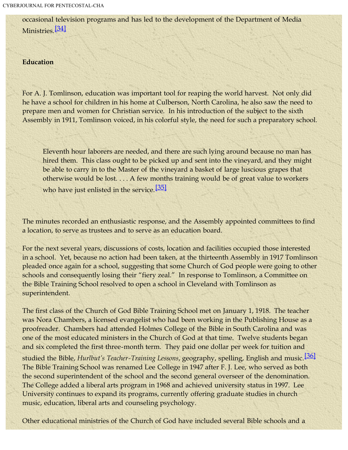<span id="page-17-0"></span>occasional television programs and has led to the development of the Department of Media Ministries.<sup>[\[34\]](#page-30-18)</sup>

#### **Education**

For A. J. Tomlinson, education was important tool for reaping the world harvest. Not only did he have a school for children in his home at Culberson, North Carolina, he also saw the need to prepare men and women for Christian service. In his introduction of the subject to the sixth Assembly in 1911, Tomlinson voiced, in his colorful style, the need for such a preparatory school.

Eleventh hour laborers are needed, and there are such lying around because no man has hired them. This class ought to be picked up and sent into the vineyard, and they might be able to carry in to the Master of the vineyard a basket of large luscious grapes that otherwise would be lost. . . . A few months training would be of great value to workers who have just enlisted in the service.  $[35]$ 

<span id="page-17-1"></span>The minutes recorded an enthusiastic response, and the Assembly appointed committees to find a location, to serve as trustees and to serve as an education board.

For the next several years, discussions of costs, location and facilities occupied those interested in a school. Yet, because no action had been taken, at the thirteenth Assembly in 1917 Tomlinson pleaded once again for a school, suggesting that some Church of God people were going to other schools and consequently losing their "fiery zeal." In response to Tomlinson, a Committee on the Bible Training School resolved to open a school in Cleveland with Tomlinson as superintendent.

<span id="page-17-2"></span>The first class of the Church of God Bible Training School met on January 1, 1918. The teacher was Nora Chambers, a licensed evangelist who had been working in the Publishing House as a proofreader. Chambers had attended Holmes College of the Bible in South Carolina and was one of the most educated ministers in the Church of God at that time. Twelve students began and six completed the first three-month term. They paid one dollar per week for tuition and studied the Bible, *Hurlbut's Teacher-Training Lessons*, geography, spelling, English and music.[\[36\]](#page-31-1) The Bible Training School was renamed Lee College in 1947 after F. J. Lee, who served as both the second superintendent of the school and the second general overseer of the denomination. The College added a liberal arts program in 1968 and achieved university status in 1997. Lee University continues to expand its programs, currently offering graduate studies in church music, education, liberal arts and counseling psychology.

Other educational ministries of the Church of God have included several Bible schools and a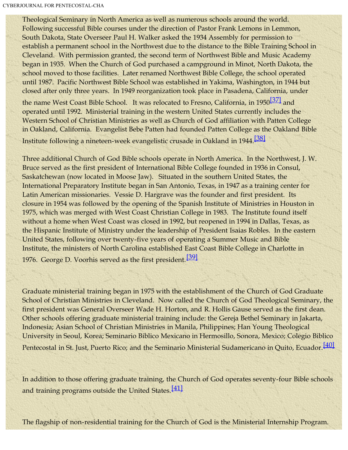Theological Seminary in North America as well as numerous schools around the world. Following successful Bible courses under the direction of Pastor Frank Lemons in Lemmon, South Dakota, State Overseer Paul H. Walker asked the 1934 Assembly for permission to establish a permanent school in the Northwest due to the distance to the Bible Training School in Cleveland. With permission granted, the second term of Northwest Bible and Music Academy began in 1935. When the Church of God purchased a campground in Minot, North Dakota, the school moved to those facilities. Later renamed Northwest Bible College, the school operated until 1987. Pacific Northwest Bible School was established in Yakima, Washington, in 1944 but closed after only three years. In 1949 reorganization took place in Pasadena, California, under the name West Coast Bible School. It was relocated to Fresno, California, in 1950<sup>[\[37\]](#page-31-2)</sup> and operated until 1992. Ministerial training in the western United States currently includes the Western School of Christian Ministries as well as Church of God affiliation with Patten College in Oakland, California. Evangelist Bebe Patten had founded Patten College as the Oakland Bible

<span id="page-18-1"></span><span id="page-18-0"></span>Institute following a nineteen-week evangelistic crusade in Oakland in 1944.<sup>[\[38\]](#page-31-3)</sup>

Three additional Church of God Bible schools operate in North America. In the Northwest, J. W. Bruce served as the first president of International Bible College founded in 1936 in Consul, Saskatchewan (now located in Moose Jaw). Situated in the southern United States, the International Preparatory Institute began in San Antonio, Texas, in 1947 as a training center for Latin American missionaries. Vessie D. Hargrave was the founder and first president. Its closure in 1954 was followed by the opening of the Spanish Institute of Ministries in Houston in 1975, which was merged with West Coast Christian College in 1983. The Institute found itself without a home when West Coast was closed in 1992, but reopened in 1994 in Dallas, Texas, as the Hispanic Institute of Ministry under the leadership of President Isaias Robles. In the eastern United States, following over twenty-five years of operating a Summer Music and Bible Institute, the ministers of North Carolina established East Coast Bible College in Charlotte in 1976. George D. Voorhis served as the first president.<sup>[\[39\]](#page-31-4)</sup>

<span id="page-18-2"></span>Graduate ministerial training began in 1975 with the establishment of the Church of God Graduate School of Christian Ministries in Cleveland. Now called the Church of God Theological Seminary, the first president was General Overseer Wade H. Horton, and R. Hollis Gause served as the first dean. Other schools offering graduate ministerial training include: the Gereja Bethel Seminary in Jakarta, Indonesia; Asian School of Christian Ministries in Manila, Philippines; Han Young Theological University in Seoul, Korea; Seminario Biblico Mexicano in Hermosillo, Sonora, Mexico; Colegio Biblico Pentecostal in St. Just, Puerto Rico; and the Seminario Ministerial Sudamericano in Quito, Ecuador.<sup>[\[40\]](#page-31-5)</sup>

<span id="page-18-4"></span><span id="page-18-3"></span>In addition to those offering graduate training, the Church of God operates seventy-four Bible schools and training programs outside the United States. $[41]$ 

The flagship of non-residential training for the Church of God is the Ministerial Internship Program.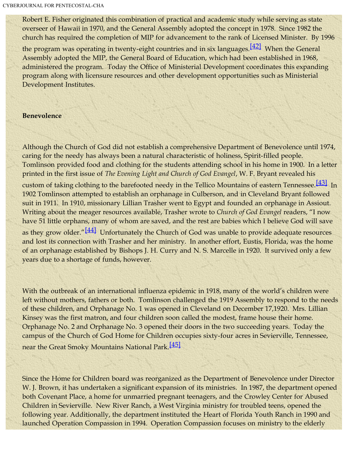Robert E. Fisher originated this combination of practical and academic study while serving as state overseer of Hawaii in 1970, and the General Assembly adopted the concept in 1978. Since 1982 the church has required the completion of MIP for advancement to the rank of Licensed Minister. By 1996

<span id="page-19-0"></span>the program was operating in twenty-eight countries and in six languages.<sup>[\[42\]](#page-31-7)</sup> When the General Assembly adopted the MIP, the General Board of Education, which had been established in 1968, administered the program. Today the Office of Ministerial Development coordinates this expanding program along with licensure resources and other development opportunities such as Ministerial Development Institutes.

## **Benevolence**

Although the Church of God did not establish a comprehensive Department of Benevolence until 1974, caring for the needy has always been a natural characteristic of holiness, Spirit-filled people. Tomlinson provided food and clothing for the students attending school in his home in 1900. In a letter printed in the first issue of *The Evening Light and Church of God Evangel*, W. F. Bryant revealed his

<span id="page-19-2"></span><span id="page-19-1"></span>custom of taking clothing to the barefooted needy in the Tellico Mountains of eastern Tennessee.<sup>[\[43\]](#page-31-8)</sup> In 1902 Tomlinson attempted to establish an orphanage in Culberson, and in Cleveland Bryant followed suit in 1911. In 1910, missionary Lillian Trasher went to Egypt and founded an orphanage in Assiout. Writing about the meager resources available, Trasher wrote to *Church of God Evangel* readers, "I now have 51 little orphans, many of whom are saved, and the rest are babies which I believe God will save as they grow older."<sup>[\[44\]](#page-31-9)</sup> Unfortunately the Church of God was unable to provide adequate resources and lost its connection with Trasher and her ministry. In another effort, Eustis, Florida, was the home of an orphanage established by Bishops J. H. Curry and N. S. Marcelle in 1920. It survived only a few years due to a shortage of funds, however.

With the outbreak of an international influenza epidemic in 1918, many of the world's children were left without mothers, fathers or both. Tomlinson challenged the 1919 Assembly to respond to the needs of these children, and Orphanage No. 1 was opened in Cleveland on December 17,1920. Mrs. Lillian Kinsey was the first matron, and four children soon called the modest, frame house their home. Orphanage No. 2 and Orphanage No. 3 opened their doors in the two succeeding years. Today the campus of the Church of God Home for Children occupies sixty-four acres in Sevierville, Tennessee, near the Great Smoky Mountains National Park.<sup>[\[45\]](#page-31-10)</sup>

<span id="page-19-3"></span>Since the Home for Children board was reorganized as the Department of Benevolence under Director W. J. Brown, it has undertaken a significant expansion of its ministries. In 1987, the department opened both Covenant Place, a home for unmarried pregnant teenagers, and the Crowley Center for Abused Children in Sevierville. New River Ranch, a West Virginia ministry for troubled teens, opened the following year. Additionally, the department instituted the Heart of Florida Youth Ranch in 1990 and launched Operation Compassion in 1994. Operation Compassion focuses on ministry to the elderly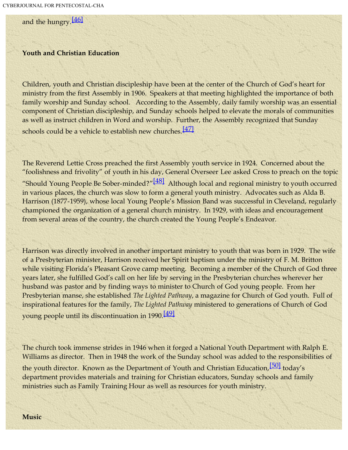<span id="page-20-0"></span>and the hungry.<sup>[\[46\]](#page-31-11)</sup>

#### **Youth and Christian Education**

Children, youth and Christian discipleship have been at the center of the Church of God's heart for ministry from the first Assembly in 1906. Speakers at that meeting highlighted the importance of both family worship and Sunday school. According to the Assembly, daily family worship was an essential component of Christian discipleship, and Sunday schools helped to elevate the morals of communities as well as instruct children in Word and worship. Further, the Assembly recognized that Sunday schools could be a vehicle to establish new churches. $[47]$ 

<span id="page-20-2"></span><span id="page-20-1"></span>The Reverend Lettie Cross preached the first Assembly youth service in 1924. Concerned about the "foolishness and frivolity" of youth in his day, General Overseer Lee asked Cross to preach on the topic "Should Young People Be Sober-minded?"<sup>[\[48\]](#page-31-13)</sup> Although local and regional ministry to youth occurred in various places, the church was slow to form a general youth ministry. Advocates such as Alda B. Harrison (1877-1959), whose local Young People's Mission Band was successful in Cleveland, regularly championed the organization of a general church ministry. In 1929, with ideas and encouragement from several areas of the country, the church created the Young People's Endeavor.

Harrison was directly involved in another important ministry to youth that was born in 1929. The wife of a Presbyterian minister, Harrison received her Spirit baptism under the ministry of F. M. Britton while visiting Florida's Pleasant Grove camp meeting. Becoming a member of the Church of God three years later, she fulfilled God's call on her life by serving in the Presbyterian churches wherever her husband was pastor and by finding ways to minister to Church of God young people. From her Presbyterian manse, she established *The Lighted Pathway*, a magazine for Church of God youth. Full of inspirational features for the family, *The Lighted Pathway* ministered to generations of Church of God young people until its discontinuation in 1990.<sup>[\[49\]](#page-31-14)</sup>

<span id="page-20-3"></span>The church took immense strides in 1946 when it forged a National Youth Department with Ralph E. Williams as director. Then in 1948 the work of the Sunday school was added to the responsibilities of the youth director. Known as the Department of Youth and Christian Education,<sup>[\[50\]](#page-0-0)</sup> today's department provides materials and training for Christian educators, Sunday schools and family ministries such as Family Training Hour as well as resources for youth ministry.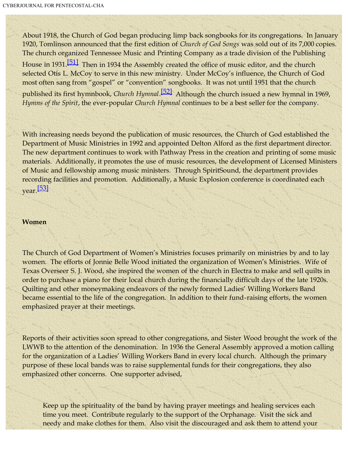About 1918, the Church of God began producing limp back songbooks for its congregations. In January 1920, Tomlinson announced that the first edition of *Church of God Songs* was sold out of its 7,000 copies. The church organized Tennessee Music and Printing Company as a trade division of the Publishing

<span id="page-21-1"></span><span id="page-21-0"></span>House in 1931.<sup>[\[51\]](#page-31-15)</sup> Then in 1934 the Assembly created the office of music editor, and the church selected Otis L. McCoy to serve in this new ministry. Under McCoy's influence, the Church of God most often sang from "gospel" or "convention" songbooks. It was not until 1951 that the church published its first hymnbook, *Church Hymnal*. [\[52\]](#page-31-16) Although the church issued a new hymnal in 1969, *Hymns of the Spirit*, the ever-popular *Church Hymnal* continues to be a best seller for the company.

With increasing needs beyond the publication of music resources, the Church of God established the Department of Music Ministries in 1992 and appointed Delton Alford as the first department director. The new department continues to work with Pathway Press in the creation and printing of some music materials. Additionally, it promotes the use of music resources, the development of Licensed Ministers of Music and fellowship among music ministers. Through SpiritSound, the department provides recording facilities and promotion. Additionally, a Music Explosion conference is coordinated each year.[\[53\]](#page-32-0)

#### <span id="page-21-2"></span>**Women**

The Church of God Department of Women's Ministries focuses primarily on ministries by and to lay women. The efforts of Jonnie Belle Wood initiated the organization of Women's Ministries. Wife of Texas Overseer S. J. Wood, she inspired the women of the church in Electra to make and sell quilts in order to purchase a piano for their local church during the financially difficult days of the late 1920s. Quilting and other moneymaking endeavors of the newly formed Ladies' Willing Workers Band became essential to the life of the congregation. In addition to their fund-raising efforts, the women emphasized prayer at their meetings.

Reports of their activities soon spread to other congregations, and Sister Wood brought the work of the LWWB to the attention of the denomination. In 1936 the General Assembly approved a motion calling for the organization of a Ladies' Willing Workers Band in every local church. Although the primary purpose of these local bands was to raise supplemental funds for their congregations, they also emphasized other concerns. One supporter advised,

Keep up the spirituality of the band by having prayer meetings and healing services each time you meet. Contribute regularly to the support of the Orphanage. Visit the sick and needy and make clothes for them. Also visit the discouraged and ask them to attend your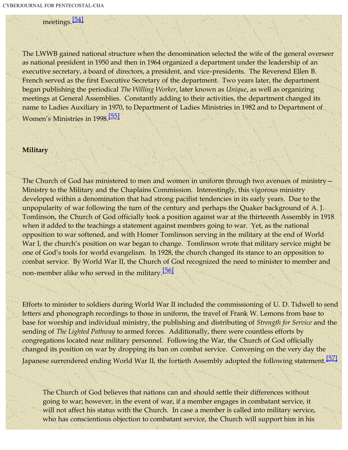meetings.[\[54\]](#page-32-1)

<span id="page-22-0"></span>The LWWB gained national structure when the denomination selected the wife of the general overseer as national president in 1950 and then in 1964 organized a department under the leadership of an executive secretary, a board of directors, a president, and vice-presidents. The Reverend Ellen B. French served as the first Executive Secretary of the department. Two years later, the department began publishing the periodical *The Willing Worker*, later known as *Unique*, as well as organizing meetings at General Assemblies. Constantly adding to their activities, the department changed its name to Ladies Auxiliary in 1970, to Department of Ladies Ministries in 1982 and to Department of Women's Ministries in 1998.[\[55\]](#page-32-2)

#### <span id="page-22-1"></span>**Military**

The Church of God has ministered to men and women in uniform through two avenues of ministry -Ministry to the Military and the Chaplains Commission. Interestingly, this vigorous ministry developed within a denomination that had strong pacifist tendencies in its early years. Due to the unpopularity of war following the turn of the century and perhaps the Quaker background of A. J. Tomlinson, the Church of God officially took a position against war at the thirteenth Assembly in 1918 when it added to the teachings a statement against members going to war. Yet, as the national opposition to war softened, and with Homer Tomlinson serving in the military at the end of World War I, the church's position on war began to change. Tomlinson wrote that military service might be one of God's tools for world evangelism. In 1928, the church changed its stance to an opposition to combat service. By World War II, the Church of God recognized the need to minister to member and non-member alike who served in the military.<sup>[\[56\]](#page-0-0)</sup>

Efforts to minister to soldiers during World War II included the commissioning of U. D. Tidwell to send letters and phonograph recordings to those in uniform, the travel of Frank W. Lemons from base to base for worship and individual ministry, the publishing and distributing of *Strength for Service* and the sending of *The Lighted Pathway* to armed forces. Additionally, there were countless efforts by congregations located near military personnel. Following the War, the Church of God officially changed its position on war by dropping its ban on combat service. Convening on the very day the Japanese surrendered ending World War II, the fortieth Assembly adopted the following statement.<sup>[\[57\]](#page-32-3)</sup>

<span id="page-22-2"></span>The Church of God believes that nations can and should settle their differences without going to war; however, in the event of war, if a member engages in combatant service, it will not affect his status with the Church. In case a member is called into military service, who has conscientious objection to combatant service, the Church will support him in his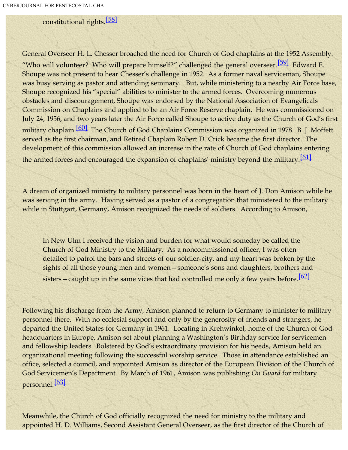constitutional rights.<sup>[\[58\]](#page-32-4)</sup>

<span id="page-23-1"></span><span id="page-23-0"></span>General Overseer H. L. Chesser broached the need for Church of God chaplains at the 1952 Assembly. "Who will volunteer? Who will prepare himself?" challenged the general overseer.<sup>[\[59\]](#page-32-5)</sup> Edward E. Shoupe was not present to hear Chesser's challenge in 1952. As a former naval serviceman, Shoupe was busy serving as pastor and attending seminary. But, while ministering to a nearby Air Force base, Shoupe recognized his "special" abilities to minister to the armed forces. Overcoming numerous obstacles and discouragement, Shoupe was endorsed by the National Association of Evangelicals Commission on Chaplains and applied to be an Air Force Reserve chaplain. He was commissioned on July 24, 1956, and two years later the Air Force called Shoupe to active duty as the Church of God's first military chaplain.<sup>[\[60\]](#page-32-6)</sup> The Church of God Chaplains Commission was organized in 1978. B. J. Moffett served as the first chairman, and Retired Chaplain Robert D. Crick became the first director. The development of this commission allowed an increase in the rate of Church of God chaplains entering the armed forces and encouraged the expansion of chaplains' ministry beyond the military.<sup>[\[61\]](#page-32-7)</sup>

<span id="page-23-3"></span><span id="page-23-2"></span>A dream of organized ministry to military personnel was born in the heart of J. Don Amison while he was serving in the army. Having served as a pastor of a congregation that ministered to the military while in Stuttgart, Germany, Amison recognized the needs of soldiers. According to Amison,

In New Ulm I received the vision and burden for what would someday be called the Church of God Ministry to the Military. As a noncommissioned officer, I was often detailed to patrol the bars and streets of our soldier-city, and my heart was broken by the sights of all those young men and women—someone's sons and daughters, brothers and sisters—caught up in the same vices that had controlled me only a few years before.<sup>[\[62\]](#page-32-8)</sup>

<span id="page-23-4"></span>Following his discharge from the Army, Amison planned to return to Germany to minister to military personnel there. With no ecclesial support and only by the generosity of friends and strangers, he departed the United States for Germany in 1961. Locating in Krehwinkel, home of the Church of God headquarters in Europe, Amison set about planning a Washington's Birthday service for servicemen and fellowship leaders. Bolstered by God's extraordinary provision for his needs, Amison held an organizational meeting following the successful worship service. Those in attendance established an office, selected a council, and appointed Amison as director of the European Division of the Church of God Servicemen's Department. By March of 1961, Amison was publishing *On Guard* for military personnel.[\[63\]](#page-32-9)

<span id="page-23-5"></span>Meanwhile, the Church of God officially recognized the need for ministry to the military and appointed H. D. Williams, Second Assistant General Overseer, as the first director of the Church of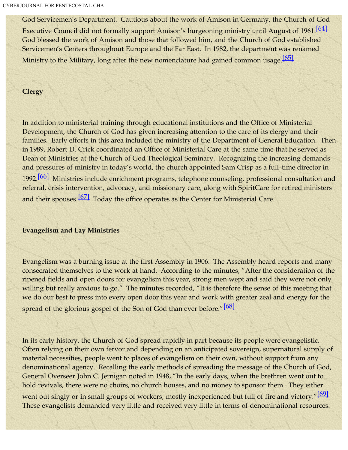<span id="page-24-0"></span>God Servicemen's Department. Cautious about the work of Amison in Germany, the Church of God Executive Council did not formally support Amison's burgeoning ministry until August of 1961.<sup>[\[64\]](#page-32-10)</sup> God blessed the work of Amison and those that followed him, and the Church of God established Servicemen's Centers throughout Europe and the Far East. In 1982, the department was renamed Ministry to the Military, long after the new nomenclature had gained common usage.<sup>[\[65\]](#page-32-11)</sup>

## <span id="page-24-1"></span>**Clergy**

In addition to ministerial training through educational institutions and the Office of Ministerial Development, the Church of God has given increasing attention to the care of its clergy and their families. Early efforts in this area included the ministry of the Department of General Education. Then in 1989, Robert D. Crick coordinated an Office of Ministerial Care at the same time that he served as Dean of Ministries at the Church of God Theological Seminary. Recognizing the increasing demands and pressures of ministry in today's world, the church appointed Sam Crisp as a full-time director in 1992.<sup>[66]</sup> Ministries include enrichment programs, telephone counseling, professional consultation and referral, crisis intervention, advocacy, and missionary care, along with SpiritCare for retired ministers and their spouses.<sup>[\[67\]](#page-32-13)</sup> Today the office operates as the Center for Ministerial Care.

## <span id="page-24-3"></span><span id="page-24-2"></span>**Evangelism and Lay Ministries**

Evangelism was a burning issue at the first Assembly in 1906. The Assembly heard reports and many consecrated themselves to the work at hand. According to the minutes, "After the consideration of the ripened fields and open doors for evangelism this year, strong men wept and said they were not only willing but really anxious to go." The minutes recorded, "It is therefore the sense of this meeting that we do our best to press into every open door this year and work with greater zeal and energy for the spread of the glorious gospel of the Son of God than ever before."<sup>[\[68\]](#page-32-14)</sup>

<span id="page-24-4"></span>In its early history, the Church of God spread rapidly in part because its people were evangelistic. Often relying on their own fervor and depending on an anticipated sovereign, supernatural supply of material necessities, people went to places of evangelism on their own, without support from any denominational agency. Recalling the early methods of spreading the message of the Church of God, General Overseer John C. Jernigan noted in 1948, "In the early days, when the brethren went out to hold revivals, there were no choirs, no church houses, and no money to sponsor them. They either

<span id="page-24-5"></span>went out singly or in small groups of workers, mostly inexperienced but full of fire and victory."[\[69\]](#page-32-15) These evangelists demanded very little and received very little in terms of denominational resources.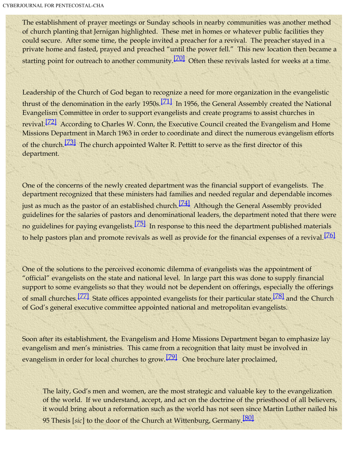The establishment of prayer meetings or Sunday schools in nearby communities was another method of church planting that Jernigan highlighted. These met in homes or whatever public facilities they could secure. After some time, the people invited a preacher for a revival. The preacher stayed in a private home and fasted, prayed and preached "until the power fell." This new location then became a starting point for outreach to another community.<sup>[\[70\]](#page-32-16)</sup> Often these revivals lasted for weeks at a time.

<span id="page-25-2"></span><span id="page-25-1"></span><span id="page-25-0"></span>Leadership of the Church of God began to recognize a need for more organization in the evangelistic thrust of the denomination in the early 1950s.<sup>[\[71\]](#page-32-17)</sup> In 1956, the General Assembly created the National Evangelism Committee in order to support evangelists and create programs to assist churches in revival.[\[72\]](#page-32-18) According to Charles W. Conn, the Executive Council created the Evangelism and Home Missions Department in March 1963 in order to coordinate and direct the numerous evangelism efforts of the church.<sup>[\[73\]](#page-32-19)</sup> The church appointed Walter R. Pettitt to serve as the first director of this department.

<span id="page-25-5"></span><span id="page-25-4"></span><span id="page-25-3"></span>One of the concerns of the newly created department was the financial support of evangelists. The department recognized that these ministers had families and needed regular and dependable incomes just as much as the pastor of an established church.<sup>[\[74\]](#page-32-20)</sup> Although the General Assembly provided guidelines for the salaries of pastors and denominational leaders, the department noted that there were no guidelines for paying evangelists.<sup>[\[75\]](#page-32-21)</sup> In response to this need the department published materials to help pastors plan and promote revivals as well as provide for the financial expenses of a revival.<sup>[\[76\]](#page-33-0)</sup>

<span id="page-25-7"></span><span id="page-25-6"></span>One of the solutions to the perceived economic dilemma of evangelists was the appointment of "official" evangelists on the state and national level. In large part this was done to supply financial support to some evangelists so that they would not be dependent on offerings, especially the offerings of small churches.<sup>[\[77\]](#page-33-1)</sup> State offices appointed evangelists for their particular state,<sup>[78]</sup> and the Church of God's general executive committee appointed national and metropolitan evangelists.

<span id="page-25-8"></span>Soon after its establishment, the Evangelism and Home Missions Department began to emphasize lay evangelism and men's ministries. This came from a recognition that laity must be involved in evangelism in order for local churches to grow.<sup>[\[79\]](#page-33-3)</sup> One brochure later proclaimed,

<span id="page-25-9"></span>The laity, God's men and women, are the most strategic and valuable key to the evangelization of the world. If we understand, accept, and act on the doctrine of the priesthood of all believers, it would bring about a reformation such as the world has not seen since Martin Luther nailed his 95 Thesis [*sic*] to the door of the Church at Wittenburg, Germany.[\[80\]](#page-33-4)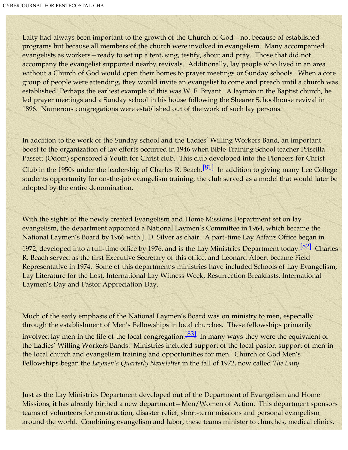Laity had always been important to the growth of the Church of God—not because of established programs but because all members of the church were involved in evangelism. Many accompanied evangelists as workers—ready to set up a tent, sing, testify, shout and pray. Those that did not accompany the evangelist supported nearby revivals. Additionally, lay people who lived in an area without a Church of God would open their homes to prayer meetings or Sunday schools. When a core group of people were attending, they would invite an evangelist to come and preach until a church was established. Perhaps the earliest example of this was W. F. Bryant. A layman in the Baptist church, he led prayer meetings and a Sunday school in his house following the Shearer Schoolhouse revival in 1896. Numerous congregations were established out of the work of such lay persons.

In addition to the work of the Sunday school and the Ladies' Willing Workers Band, an important boost to the organization of lay efforts occurred in 1946 when Bible Training School teacher Priscilla Passett (Odom) sponsored a Youth for Christ club. This club developed into the Pioneers for Christ

<span id="page-26-0"></span>Club in the 1950s under the leadership of Charles R. Beach. $\frac{811}{10}$  In addition to giving many Lee College students opportunity for on-the-job evangelism training, the club served as a model that would later be adopted by the entire denomination.

With the sights of the newly created Evangelism and Home Missions Department set on lay evangelism, the department appointed a National Laymen's Committee in 1964, which became the National Laymen's Board by 1966 with J. D. Silver as chair. A part-time Lay Affairs Office began in

<span id="page-26-1"></span>1972, developed into a full-time office by 1976, and is the Lay Ministries Department today.<sup>[\[82\]](#page-33-6)</sup> Charles R. Beach served as the first Executive Secretary of this office, and Leonard Albert became Field Representative in 1974. Some of this department's ministries have included Schools of Lay Evangelism, Lay Literature for the Lost, International Lay Witness Week, Resurrection Breakfasts, International Laymen's Day and Pastor Appreciation Day.

<span id="page-26-2"></span>Much of the early emphasis of the National Laymen's Board was on ministry to men, especially through the establishment of Men's Fellowships in local churches. These fellowships primarily involved lay men in the life of the local congregation.<sup>[\[83\]](#page-33-7)</sup> In many ways they were the equivalent of the Ladies' Willing Workers Bands. Ministries included support of the local pastor, support of men in the local church and evangelism training and opportunities for men. Church of God Men's Fellowships began the *Laymen's Quarterly Newsletter* in the fall of 1972, now called *The Laity*.

Just as the Lay Ministries Department developed out of the Department of Evangelism and Home Missions, it has already birthed a new department—Men/Women of Action. This department sponsors teams of volunteers for construction, disaster relief, short-term missions and personal evangelism around the world. Combining evangelism and labor, these teams minister to churches, medical clinics,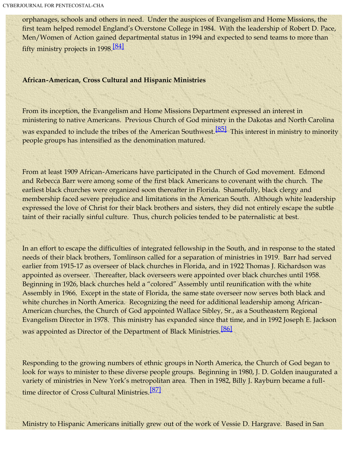<span id="page-27-0"></span>orphanages, schools and others in need. Under the auspices of Evangelism and Home Missions, the first team helped remodel England's Overstone College in 1984. With the leadership of Robert D. Pace, Men/Women of Action gained departmental status in 1994 and expected to send teams to more than fifty ministry projects in 1998[.\[84\]](#page-33-8)

## **African-American, Cross Cultural and Hispanic Ministries**

<span id="page-27-1"></span>From its inception, the Evangelism and Home Missions Department expressed an interest in ministering to native Americans. Previous Church of God ministry in the Dakotas and North Carolina was expanded to include the tribes of the American Southwest.<sup>[\[85\]](#page-33-9)</sup> This interest in ministry to minority people groups has intensified as the denomination matured.

From at least 1909 African-Americans have participated in the Church of God movement. Edmond and Rebecca Barr were among some of the first black Americans to covenant with the church. The earliest black churches were organized soon thereafter in Florida. Shamefully, black clergy and membership faced severe prejudice and limitations in the American South. Although white leadership expressed the love of Christ for their black brothers and sisters, they did not entirely escape the subtle taint of their racially sinful culture. Thus, church policies tended to be paternalistic at best.

In an effort to escape the difficulties of integrated fellowship in the South, and in response to the stated needs of their black brothers, Tomlinson called for a separation of ministries in 1919. Barr had served earlier from 1915-17 as overseer of black churches in Florida, and in 1922 Thomas J. Richardson was appointed as overseer. Thereafter, black overseers were appointed over black churches until 1958. Beginning in 1926, black churches held a "colored" Assembly until reunification with the white Assembly in 1966. Except in the state of Florida, the same state overseer now serves both black and white churches in North America. Recognizing the need for additional leadership among African-American churches, the Church of God appointed Wallace Sibley, Sr., as a Southeastern Regional Evangelism Director in 1978. This ministry has expanded since that time, and in 1992 Joseph E. Jackson was appointed as Director of the Department of Black Ministries.<sup>[\[86\]](#page-33-10)</sup>

<span id="page-27-3"></span><span id="page-27-2"></span>Responding to the growing numbers of ethnic groups in North America, the Church of God began to look for ways to minister to these diverse people groups. Beginning in 1980, J. D. Golden inaugurated a variety of ministries in New York's metropolitan area. Then in 1982, Billy J. Rayburn became a full-time director of Cross Cultural Ministries.<sup>[\[87\]](#page-33-11)</sup>

Ministry to Hispanic Americans initially grew out of the work of Vessie D. Hargrave. Based in San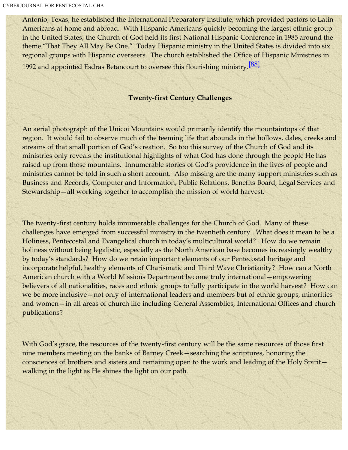<span id="page-28-0"></span>Antonio, Texas, he established the International Preparatory Institute, which provided pastors to Latin Americans at home and abroad. With Hispanic Americans quickly becoming the largest ethnic group in the United States, the Church of God held its first National Hispanic Conference in 1985 around the theme "That They All May Be One." Today Hispanic ministry in the United States is divided into six regional groups with Hispanic overseers. The church established the Office of Hispanic Ministries in 1992 and appointed Esdras Betancourt to oversee this flourishing ministry.<sup>[\[88\]](#page-33-12)</sup>

## **Twenty-first Century Challenges**

An aerial photograph of the Unicoi Mountains would primarily identify the mountaintops of that region. It would fail to observe much of the teeming life that abounds in the hollows, dales, creeks and streams of that small portion of God's creation. So too this survey of the Church of God and its ministries only reveals the institutional highlights of what God has done through the people He has raised up from those mountains. Innumerable stories of God's providence in the lives of people and ministries cannot be told in such a short account. Also missing are the many support ministries such as Business and Records, Computer and Information, Public Relations, Benefits Board, Legal Services and Stewardship—all working together to accomplish the mission of world harvest.

The twenty-first century holds innumerable challenges for the Church of God. Many of these challenges have emerged from successful ministry in the twentieth century. What does it mean to be a Holiness, Pentecostal and Evangelical church in today's multicultural world? How do we remain holiness without being legalistic, especially as the North American base becomes increasingly wealthy by today's standards? How do we retain important elements of our Pentecostal heritage and incorporate helpful, healthy elements of Charismatic and Third Wave Christianity? How can a North American church with a World Missions Department become truly international—empowering believers of all nationalities, races and ethnic groups to fully participate in the world harvest? How can we be more inclusive—not only of international leaders and members but of ethnic groups, minorities and women—in all areas of church life including General Assemblies, International Offices and church publications?

With God's grace, the resources of the twenty-first century will be the same resources of those first nine members meeting on the banks of Barney Creek—searching the scriptures, honoring the consciences of brothers and sisters and remaining open to the work and leading of the Holy Spirit walking in the light as He shines the light on our path.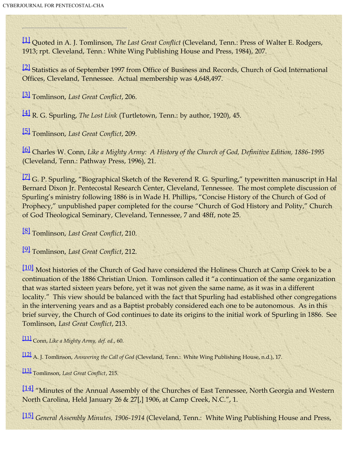<span id="page-29-0"></span>[\[1\]](#page-0-1) Quoted in A. J. Tomlinson, *The Last Great Conflict* (Cleveland, Tenn.: Press of Walter E. Rodgers, 1913; rpt. Cleveland, Tenn.: White Wing Publishing House and Press, 1984), 207.

<span id="page-29-1"></span><sup>[\[2\]](#page-0-2)</sup> Statistics as of September 1997 from Office of Business and Records, Church of God International Offices, Cleveland, Tennessee. Actual membership was 4,648,497.

<span id="page-29-2"></span>[\[3\]](#page-1-0) Tomlinson, *Last Great Conflict*, 206.

<span id="page-29-3"></span>[\[4\]](#page-1-1) R. G. Spurling, *The Lost Link* (Turtletown, Tenn.: by author, 1920), 45.

<span id="page-29-4"></span>[\[5\]](#page-2-0) Tomlinson, *Last Great Conflict*, 209.

<span id="page-29-5"></span>[\[6\]](#page-2-1) Charles W. Conn, *Like a Mighty Army: A History of the Church of God, Definitive Edition, 1886-1995* (Cleveland, Tenn.: Pathway Press, 1996), 21.

<span id="page-29-6"></span><sup>[\[7\]](#page-2-2)</sup> G. P. Spurling, "Biographical Sketch of the Reverend R. G. Spurling," typewritten manuscript in Hal Bernard Dixon Jr. Pentecostal Research Center, Cleveland, Tennessee. The most complete discussion of Spurling's ministry following 1886 is in Wade H. Phillips, "Concise History of the Church of God of Prophecy," unpublished paper completed for the course "Church of God History and Polity," Church of God Theological Seminary, Cleveland, Tennessee, 7 and 48ff, note 25.

<span id="page-29-7"></span>[\[8\]](#page-3-0) Tomlinson, *Last Great Conflict*, 210.

<span id="page-29-8"></span>[\[9\]](#page-4-0) Tomlinson, *Last Great Conflict*, 212.

<span id="page-29-9"></span>[\[10\]](#page-4-1) Most histories of the Church of God have considered the Holiness Church at Camp Creek to be a continuation of the 1886 Christian Union. Tomlinson called it "a continuation of the same organization that was started sixteen years before, yet it was not given the same name, as it was in a different locality." This view should be balanced with the fact that Spurling had established other congregations in the intervening years and as a Baptist probably considered each one to be autonomous. As in this brief survey, the Church of God continues to date its origins to the initial work of Spurling in 1886. See Tomlinson, *Last Great Conflict*, 213.

<span id="page-29-10"></span>[\[11\]](#page-5-0) Conn, *Like a Mighty Army, def. ed.*, 60.

<span id="page-29-11"></span>[\[12\]](#page-5-1) A. J. Tomlinson, *Answering the Call of God* (Cleveland, Tenn.: White Wing Publishing House, n.d.), 17.

<span id="page-29-12"></span>[\[13\]](#page-6-0) Tomlinson, *Last Great Conflict*, 215.

<span id="page-29-13"></span>[\[14\]](#page-6-1) "Minutes of the Annual Assembly of the Churches of East Tennessee, North Georgia and Western North Carolina, Held January 26 & 27[,] 1906, at Camp Creek, N.C.", 1.

<span id="page-29-14"></span>[\[15\]](#page-7-0) *General Assembly Minutes, 1906-1914* (Cleveland, Tenn.: White Wing Publishing House and Press,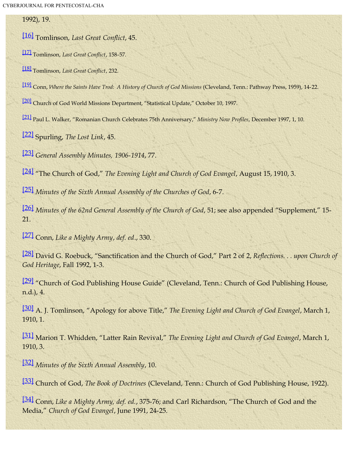1992), 19.

<span id="page-30-0"></span>[\[16\]](#page-7-1) Tomlinson, *Last Great Conflict*, 45.

<span id="page-30-1"></span>[\[17\]](#page-8-0) Tomlinson, *Last Great Conflict*, 158-57.

<span id="page-30-2"></span>[\[18\]](#page-8-1) Tomlinson, *Last Great Conflict*, 232.

<span id="page-30-3"></span>[\[19\]](#page-10-0) Conn, *Where the Saints Have Trod: A History of Church of God Missions* (Cleveland, Tenn.: Pathway Press, 1959), 14-22.

<span id="page-30-4"></span>[\[20\]](#page-11-0) Church of God World Missions Department, "Statistical Update," October 10, 1997.

<span id="page-30-5"></span>[\[21\]](#page-11-1) Paul L. Walker, "Romanian Church Celebrates 75th Anniversary," *Ministry Now Profiles*, December 1997, 1, 10.

<span id="page-30-6"></span>[\[22\]](#page-13-0) Spurling, *The Lost Link*, 45.

<span id="page-30-7"></span>[\[23\]](#page-13-1) *General Assembly Minutes, 1906-1914*, 77.

<span id="page-30-8"></span>[\[24\]](#page-13-2) "The Church of God," *The Evening Light and Church of God Evangel*, August 15, 1910, 3.

<span id="page-30-9"></span>[\[25\]](#page-13-3) *Minutes of the Sixth Annual Assembly of the Churches of God*, 6-7.

<span id="page-30-10"></span>[\[26\]](#page-13-4) *Minutes of the 62nd General Assembly of the Church of God*, 51; see also appended "Supplement," 15- 21.

<span id="page-30-11"></span>[\[27\]](#page-13-5) Conn, *Like a Mighty Army*, *def. ed*., 330.

<span id="page-30-12"></span>[\[28\]](#page-15-0) David G. Roebuck, "Sanctification and the Church of God," Part 2 of 2, *Reflections. . . upon Church of God Heritage*, Fall 1992, 1-3.

<span id="page-30-13"></span>[\[29\]](#page-15-1) "Church of God Publishing House Guide" (Cleveland, Tenn.: Church of God Publishing House, n.d.), 4.

<span id="page-30-14"></span>[\[30\]](#page-16-0) A. J. Tomlinson, "Apology for above Title," *The Evening Light and Church of God Evangel*, March 1, 1910, 1.

<span id="page-30-15"></span>[\[31\]](#page-16-1) Marion T. Whidden, "Latter Rain Revival," *The Evening Light and Church of God Evangel*, March 1, 1910, 3.

<span id="page-30-16"></span>[\[32\]](#page-16-2) *Minutes of the Sixth Annual Assembly*, 10.

<span id="page-30-17"></span>[\[33\]](#page-16-3) Church of God, *The Book of Doctrines* (Cleveland, Tenn.: Church of God Publishing House, 1922).

<span id="page-30-18"></span>[\[34\]](#page-17-0) Conn, *Like a Mighty Army, def. ed.*, 375-76; and Carl Richardson, "The Church of God and the Media," *Church of God Evangel*, June 1991, 24-25.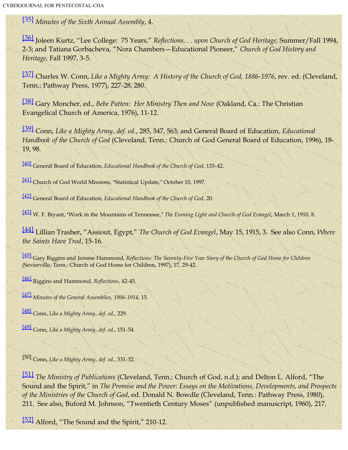<span id="page-31-0"></span>[\[35\]](#page-17-1) *Minutes of the Sixth Annual Assembly*, 4.

<span id="page-31-1"></span>[\[36\]](#page-17-2) Joleen Kurtz, "Lee College: 75 Years," *Reflections. . . upon Church of God Heritage,* Summer/Fall 1994, 2-3; and Tatiana Gorbacheva, "Nora Chambers—Educational Pioneer," *Church of God History and Heritage,* Fall 1997, 3-5.

<span id="page-31-2"></span>[\[37\]](#page-18-0) Charles W. Conn, *Like a Mighty Army: A History of the Church of God, 1886-1976*, rev. ed. (Cleveland, Tenn.: Pathway Press, 1977), 227-28, 280.

<span id="page-31-3"></span>[\[38\]](#page-18-1) Gary Moncher, ed., *Bebe Patten: Her Ministry Then and Now* (Oakland, Ca.: The Christian Evangelical Church of America, 1976), 11-12.

<span id="page-31-4"></span>[\[39\]](#page-18-2) Conn, *Like a Mighty Army*, *def. ed.*, 285, 347, 563; and General Board of Education, *Educational Handbook of the Church of God* (Cleveland, Tenn.: Church of God General Board of Education, 1996), 18- 19, 98.

<span id="page-31-5"></span>[\[40\]](#page-18-3) General Board of Education, *Educational Handbook of the Church of God*, 133-42.

<span id="page-31-6"></span>[\[41\]](#page-18-4) Church of God World Missions, "Statistical Update," October 10, 1997.

<span id="page-31-7"></span>[\[42\]](#page-19-0) General Board of Education, *Educational Handbook of the Church of God*, 20.

<span id="page-31-8"></span>[\[43\]](#page-19-1) W. F. Bryant, "Work in the Mountains of Tennessee," The Evening Light and Church of God Evangel, March 1, 1910, 8.

<span id="page-31-9"></span>[\[44\]](#page-19-2) Lillian Trasher, "Assiout, Egypt," *The Church of God Evangel*, May 15, 1915, 3. See also Conn, *Where the Saints Have Trod*, 15-16.

<span id="page-31-10"></span>[\[45\]](#page-19-3) Gary Riggins and Jerome Hammond, *Reflections: The Seventy-Five Year Story of the Church of God Home for Children* (Sevierville, Tenn.: Church of God Home for Children, 1997), 17, 29-42.

<span id="page-31-11"></span>[\[46\]](#page-20-0) Riggins and Hammond, *Reflections*, 42-45.

<span id="page-31-12"></span>[\[47\]](#page-20-1) *Minutes of the General Assemblies, 1906-1914*, 15.

<span id="page-31-13"></span>[\[48\]](#page-20-2) Conn, *Like a Mighty Army*, *def. ed*., 229.

<span id="page-31-14"></span>[\[49\]](#page-20-3) Conn, *Like a Mighty Army*, *def. ed*., 151-54.

[50] Conn, *Like a Mighty Army*, *def. ed.*, 331-32.

<span id="page-31-15"></span>[\[51\]](#page-21-0) *The Ministry of Publications* (Cleveland, Tenn.: Church of God, n.d.); and Delton L. Alford, "The Sound and the Spirit," in *The Promise and the Power: Essays on the Motivations, Developments, and Prospects of the Ministries of the Church of God*, ed. Donald N. Bowdle (Cleveland, Tenn.: Pathway Press, 1980), 211. See also, Buford M. Johnson, "Twentieth Century Moses" (unpublished manuscript, 1960), 217.

<span id="page-31-16"></span>[\[52\]](#page-21-1) Alford, "The Sound and the Spirit," 210-12.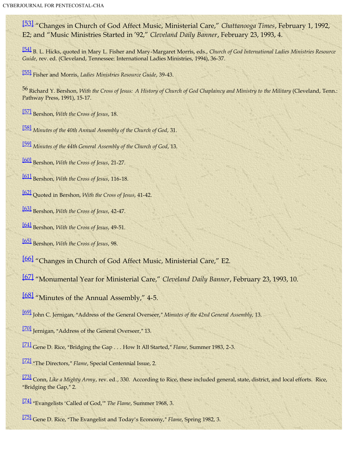<span id="page-32-0"></span>[\[53\]](#page-21-2) "Changes in Church of God Affect Music, Ministerial Care," *Chattanooga Times*, February 1, 1992, E2; and "Music Ministries Started in '92," *Cleveland Daily Banner*, February 23, 1993, 4.

<span id="page-32-1"></span>[\[54\]](#page-22-0) B. L. Hicks, quoted in Mary L. Fisher and Mary-Margaret Morris, eds., *Church of God International Ladies Ministries Resource Guide*, rev. ed. (Cleveland, Tennessee: International Ladies Ministries, 1994), 36-37.

<span id="page-32-2"></span>[\[55\]](#page-22-1) Fisher and Morris, *Ladies Ministries Resource Guide*, 39-43.

56 Richard Y. Bershon, *With the Cross of Jesus: A History of Church of God Chaplaincy and Ministry to the Military* (Cleveland, Tenn.: Pathway Press, 1991), 15-17.

<span id="page-32-3"></span>[\[57\]](#page-22-2) Bershon, *With the Cross of Jesus*, 18.

<span id="page-32-4"></span>[\[58\]](#page-23-0) *Minutes of the 40th Annual Assembly of the Church of God*, 31.

<span id="page-32-5"></span>[\[59\]](#page-23-1) *Minutes of the 44th General Assembly of the Church of God*, 13.

<span id="page-32-6"></span>[\[60\]](#page-23-2) Bershon, *With the Cross of Jesus*, 21-27.

<span id="page-32-7"></span>[\[61\]](#page-23-3) Bershon, *With the Cross of Jesus*, 116-18.

<span id="page-32-8"></span>[\[62\]](#page-23-4) Quoted in Bershon, *With the Cross of Jesus*, 41-42.

<span id="page-32-9"></span>[\[63\]](#page-23-5) Bershon, *With the Cross of Jesus*, 42-47.

<span id="page-32-10"></span>[\[64\]](#page-24-0) Bershon, *With the Cross of Jesus*, 49-51.

<span id="page-32-11"></span>[\[65\]](#page-24-1) Bershon, *With the Cross of Jesus*, 98.

<span id="page-32-12"></span>[\[66\]](#page-24-2) "Changes in Church of God Affect Music, Ministerial Care," E2.

<span id="page-32-13"></span>[\[67\]](#page-24-3) "Monumental Year for Ministerial Care," *Cleveland Daily Banner*, February 23, 1993, 10.

<span id="page-32-14"></span>[\[68\]](#page-24-4) "Minutes of the Annual Assembly," 4-5.

<span id="page-32-15"></span>[\[69\]](#page-24-5) John C. Jernigan, "Address of the General Overseer," *Minutes of the 42nd General Assembly*, 13.

<span id="page-32-16"></span>[\[70\]](#page-25-0) Jernigan, "Address of the General Overseer," 13.

<span id="page-32-17"></span>[\[71\]](#page-25-1) Gene D. Rice, "Bridging the Gap . . . How It All Started," *Flame*, Summer 1983, 2-3.

<span id="page-32-18"></span>[\[72\]](#page-25-2) "The Directors," Flame, Special Centennial Issue, 2.

<span id="page-32-19"></span>[\[73\]](#page-25-3) Conn, *Like a Mighty Army*, rev. ed*.*, 330. According to Rice, these included general, state, district, and local efforts. Rice, "Bridging the Gap," 2.

<span id="page-32-20"></span>[\[74\]](#page-25-4) "Evangelists 'Called of God," The Flame, Summer 1968, 3.

<span id="page-32-21"></span>[\[75\]](#page-25-5) Gene D. Rice, "The Evangelist and Today's Economy," *Flame*, Spring 1982, 3.